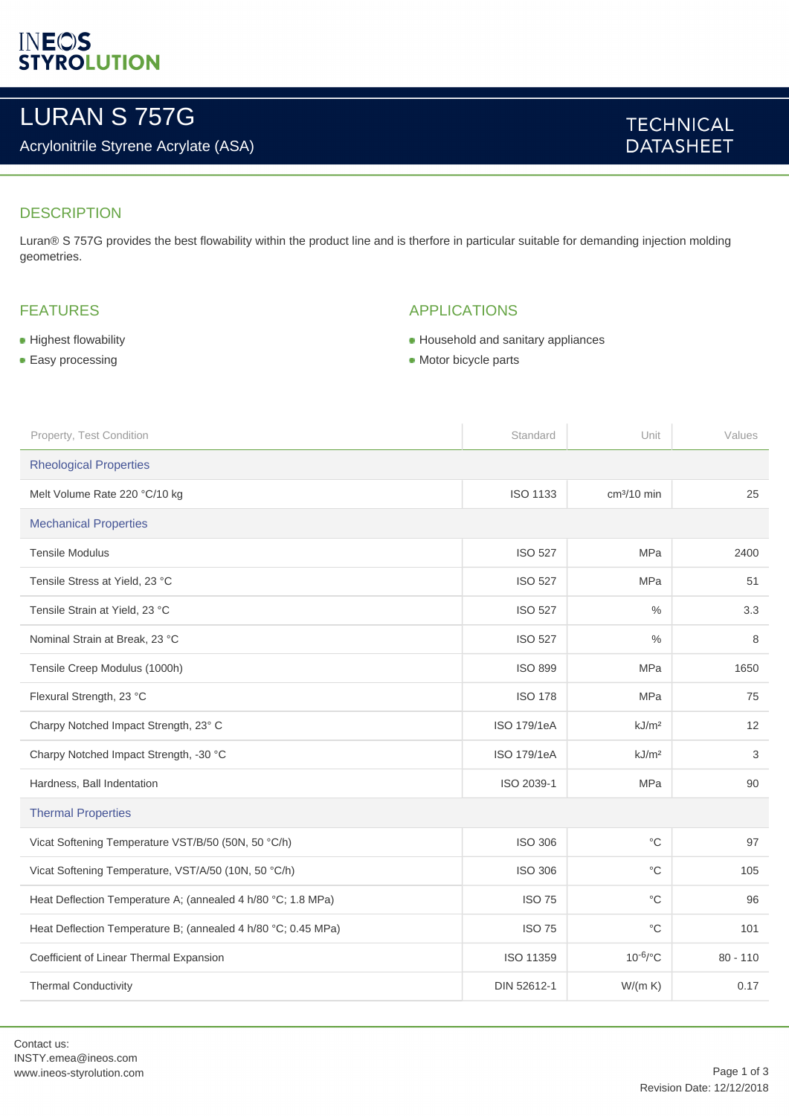# **INEOS**<br>STYROLUTION

## LURAN S 757G

## Acrylonitrile Styrene Acrylate (ASA)

## **TECHNICAL DATASHEET**

### **DESCRIPTION**

Luran® S 757G provides the best flowability within the product line and is therfore in particular suitable for demanding injection molding geometries.

## FEATURES

#### **Highest flowability**

**Easy processing** 

## APPLICATIONS

- Household and sanitary appliances
- Motor bicycle parts

| Property, Test Condition                                      | Standard           | Unit              | Values     |  |
|---------------------------------------------------------------|--------------------|-------------------|------------|--|
| <b>Rheological Properties</b>                                 |                    |                   |            |  |
| Melt Volume Rate 220 °C/10 kg                                 | <b>ISO 1133</b>    | $cm3/10$ min      | 25         |  |
| <b>Mechanical Properties</b>                                  |                    |                   |            |  |
| <b>Tensile Modulus</b>                                        | <b>ISO 527</b>     | <b>MPa</b>        | 2400       |  |
| Tensile Stress at Yield, 23 °C                                | <b>ISO 527</b>     | <b>MPa</b>        | 51         |  |
| Tensile Strain at Yield, 23 °C                                | <b>ISO 527</b>     | %                 | 3.3        |  |
| Nominal Strain at Break, 23 °C                                | <b>ISO 527</b>     | $\%$              | 8          |  |
| Tensile Creep Modulus (1000h)                                 | <b>ISO 899</b>     | <b>MPa</b>        | 1650       |  |
| Flexural Strength, 23 °C                                      | <b>ISO 178</b>     | <b>MPa</b>        | 75         |  |
| Charpy Notched Impact Strength, 23° C                         | <b>ISO 179/1eA</b> | kJ/m <sup>2</sup> | 12         |  |
| Charpy Notched Impact Strength, -30 °C                        | ISO 179/1eA        | kJ/m <sup>2</sup> | 3          |  |
| Hardness, Ball Indentation                                    | ISO 2039-1         | <b>MPa</b>        | 90         |  |
| <b>Thermal Properties</b>                                     |                    |                   |            |  |
| Vicat Softening Temperature VST/B/50 (50N, 50 °C/h)           | <b>ISO 306</b>     | $^{\circ}{\rm C}$ | 97         |  |
| Vicat Softening Temperature, VST/A/50 (10N, 50 °C/h)          | <b>ISO 306</b>     | $^{\circ}{\rm C}$ | 105        |  |
| Heat Deflection Temperature A; (annealed 4 h/80 °C; 1.8 MPa)  | <b>ISO 75</b>      | $^{\circ}C$       | 96         |  |
| Heat Deflection Temperature B; (annealed 4 h/80 °C; 0.45 MPa) | <b>ISO 75</b>      | $^{\circ}C$       | 101        |  |
| Coefficient of Linear Thermal Expansion                       | ISO 11359          | $10^{-6}$ /°C     | $80 - 110$ |  |
| <b>Thermal Conductivity</b>                                   | DIN 52612-1        | W/(m K)           | 0.17       |  |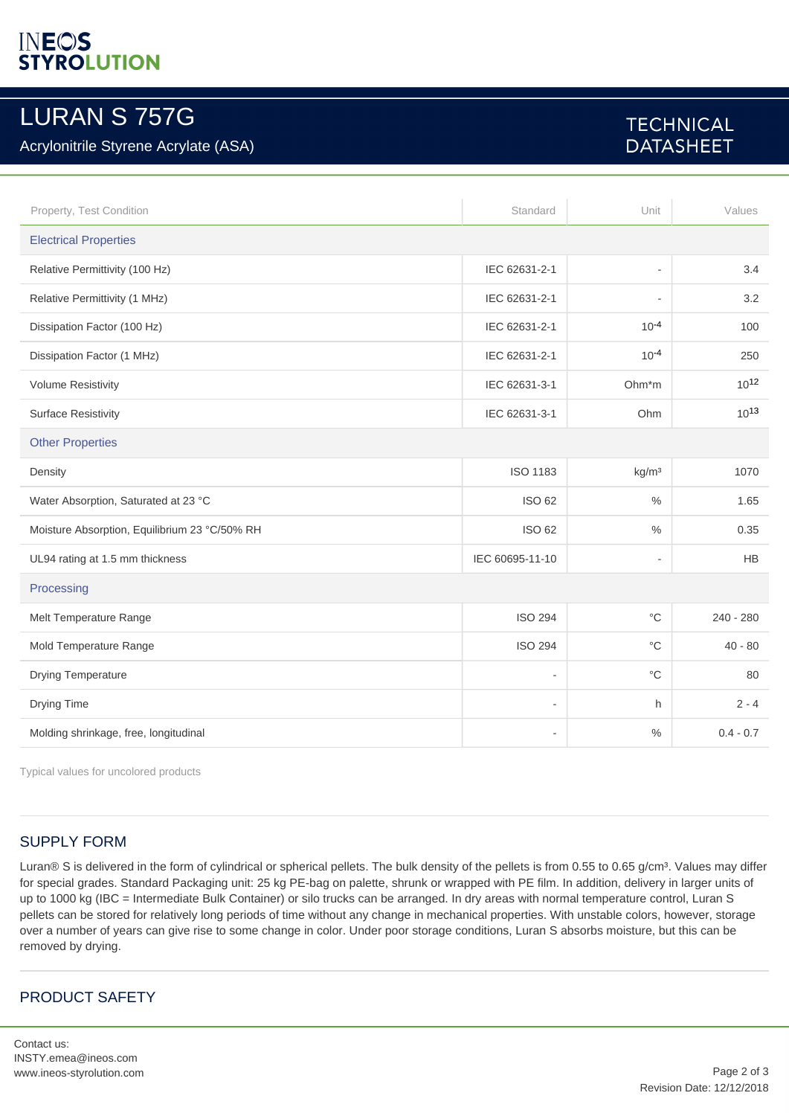# **INEOS**<br>STYROLUTION

## LURAN S 757G

## Acrylonitrile Styrene Acrylate (ASA)

## **TECHNICAL DATASHEET**

| Property, Test Condition                      | Standard        | Unit                     | Values      |  |
|-----------------------------------------------|-----------------|--------------------------|-------------|--|
| <b>Electrical Properties</b>                  |                 |                          |             |  |
| Relative Permittivity (100 Hz)                | IEC 62631-2-1   | ٠                        | 3.4         |  |
| Relative Permittivity (1 MHz)                 | IEC 62631-2-1   | ٠                        | 3.2         |  |
| Dissipation Factor (100 Hz)                   | IEC 62631-2-1   | $10^{-4}$                | 100         |  |
| Dissipation Factor (1 MHz)                    | IEC 62631-2-1   | $10^{-4}$                | 250         |  |
| <b>Volume Resistivity</b>                     | IEC 62631-3-1   | Ohm*m                    | $10^{12}$   |  |
| <b>Surface Resistivity</b>                    | IEC 62631-3-1   | Ohm                      | $10^{13}$   |  |
| <b>Other Properties</b>                       |                 |                          |             |  |
| Density                                       | <b>ISO 1183</b> | kg/m <sup>3</sup>        | 1070        |  |
| Water Absorption, Saturated at 23 °C          | <b>ISO 62</b>   | $\%$                     | 1.65        |  |
| Moisture Absorption, Equilibrium 23 °C/50% RH | <b>ISO 62</b>   | $\%$                     | 0.35        |  |
| UL94 rating at 1.5 mm thickness               | IEC 60695-11-10 | $\overline{\phantom{a}}$ | <b>HB</b>   |  |
| Processing                                    |                 |                          |             |  |
| Melt Temperature Range                        | <b>ISO 294</b>  | $^{\circ}C$              | $240 - 280$ |  |
| Mold Temperature Range                        | <b>ISO 294</b>  | $^{\circ}C$              | $40 - 80$   |  |
| <b>Drying Temperature</b>                     | ٠               | $^{\circ}C$              | 80          |  |
| Drying Time                                   | ٠               | h.                       | $2 - 4$     |  |
| Molding shrinkage, free, longitudinal         | ٠               | $\%$                     | $0.4 - 0.7$ |  |

Typical values for uncolored products

#### SUPPLY FORM

Luran® S is delivered in the form of cylindrical or spherical pellets. The bulk density of the pellets is from 0.55 to 0.65 g/cm<sup>3</sup>. Values may differ for special grades. Standard Packaging unit: 25 kg PE-bag on palette, shrunk or wrapped with PE film. In addition, delivery in larger units of up to 1000 kg (IBC = Intermediate Bulk Container) or silo trucks can be arranged. In dry areas with normal temperature control, Luran S pellets can be stored for relatively long periods of time without any change in mechanical properties. With unstable colors, however, storage over a number of years can give rise to some change in color. Under poor storage conditions, Luran S absorbs moisture, but this can be removed by drying.

## PRODUCT SAFETY

Contact us: INSTY.emea@ineos.com www.ineos-styrolution.com Page 2 of 3